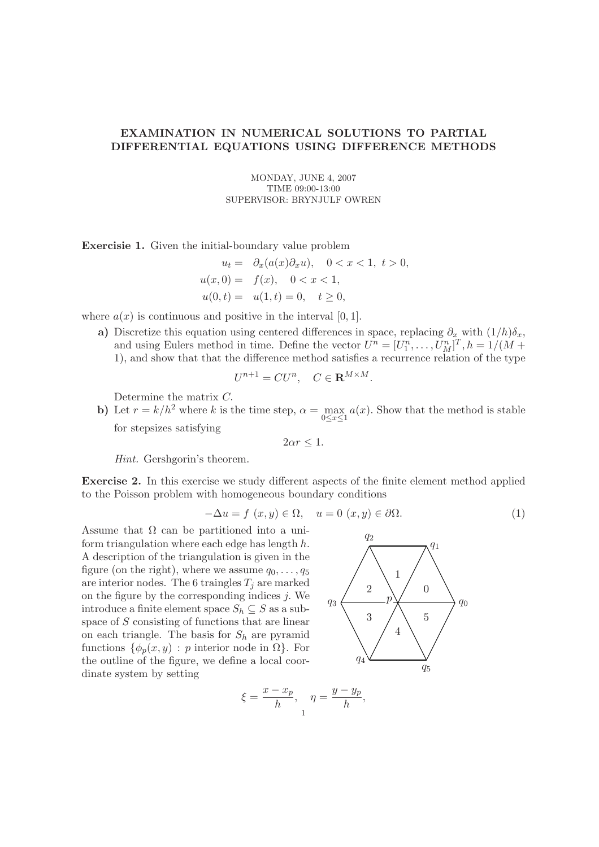## EXAMINATION IN NUMERICAL SOLUTIONS TO PARTIAL DIFFERENTIAL EQUATIONS USING DIFFERENCE METHODS

MONDAY, JUNE 4, 2007 TIME 09:00-13:00 SUPERVISOR: BRYNJULF OWREN

Exercisie 1. Given the initial-boundary value problem

$$
u_t = \partial_x(a(x)\partial_x u), \quad 0 < x < 1, \ t > 0,
$$
\n
$$
u(x, 0) = f(x), \quad 0 < x < 1,
$$
\n
$$
u(0, t) = u(1, t) = 0, \quad t \ge 0,
$$

where  $a(x)$  is continuous and positive in the interval [0, 1].

a) Discretize this equation using centered differences in space, replacing  $\partial_x$  with  $(1/h)\delta_x$ , and using Eulers method in time. Define the vector  $U^n = [U_1^n, \ldots, U_M^n]^T$ ,  $h = 1/(M +$ 1), and show that that the difference method satisfies a recurrence relation of the type

$$
U^{n+1} = CU^n, \quad C \in \mathbf{R}^{M \times M}.
$$

Determine the matrix C.

b) Let  $r = k/h^2$  where k is the time step,  $\alpha = \max_{x \in \mathbb{R}} a(x)$ . Show that the method is stable  $0 \le x \le 1$ for stepsizes satisfying

 $2\alpha r \leq 1$ .

Hint. Gershgorin's theorem.

Exercise 2. In this exercise we study different aspects of the finite element method applied to the Poisson problem with homogeneous boundary conditions

$$
-\Delta u = f(x, y) \in \Omega, \quad u = 0 \ (x, y) \in \partial \Omega.
$$
 (1)

 $q<sub>2</sub>$ 

,

Assume that  $\Omega$  can be partitioned into a uniform triangulation where each edge has length  $h$ . A description of the triangulation is given in the figure (on the right), where we assume  $q_0, \ldots, q_5$ are interior nodes. The 6 traingles  $T_i$  are marked on the figure by the corresponding indices  $j$ . We introduce a finite element space  $S_h \subseteq S$  as a subspace of S consisting of functions that are linear on each triangle. The basis for  $S_h$  are pyramid functions  $\{\phi_n(x, y) : p$  interior node in  $\Omega\}$ . For the outline of the figure, we define a local coordinate system by setting



$$
\xi = \frac{x - x_p}{h}, \quad \eta = \frac{y - y_p}{h}
$$